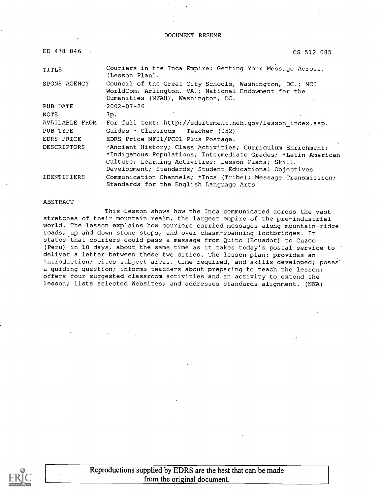#### DOCUMENT RESUME

| ED 478 846     | CS 512 085                                                                                                                                                                                                                                  |
|----------------|---------------------------------------------------------------------------------------------------------------------------------------------------------------------------------------------------------------------------------------------|
| TITLE          | Couriers in the Inca Empire: Getting Your Message Across.<br>[Lesson Plan].                                                                                                                                                                 |
| SPONS AGENCY   | Council of the Great City Schools, Washington, DC.; MCI<br>WorldCom, Arlington, VA.; National Endowment for the<br>Humanities (NFAH), Washington, DC.                                                                                       |
| PUB DATE       | $2002 - 07 - 26$                                                                                                                                                                                                                            |
| NOTE           | 7p.                                                                                                                                                                                                                                         |
| AVAILABLE FROM | For full text: http://edsitement.neh.gov/lesson index.asp.                                                                                                                                                                                  |
| PUB TYPE       | Guides - Classroom - Teacher (052)                                                                                                                                                                                                          |
| EDRS PRICE     | EDRS Price MF01/PC01 Plus Postage.                                                                                                                                                                                                          |
| DESCRIPTORS    | *Ancient History; Class Activities; Curriculum Enrichment;<br>*Indigenous Populations; Intermediate Grades; *Latin American<br>Culture; Learning Activities; Lesson Plans; Skill.<br>Development; Standards; Student Educational Objectives |
| IDENTIFIERS    | Communication Channels; *Inca (Tribe); Message Transmission;<br>Standards for the English Language Arts                                                                                                                                     |

#### ABSTRACT

This -lesson shows how the Inca communicated across the vast stretches of their mountain realm, the largest empire of the pre-industrial world. The lesson explains how couriers carried messages along mountain-ridge roads, up and down stone steps, and over chasm-spanning footbridges. It states that couriers could pass a message from Quito (Ecuador) to Cuzco (Peru) in 10 days, about the same time as it takes today's postal service to deliver a letter between these two cities. The lesson plan: provides an introduction; cites subject areas, time required, and skills developed; poses a guiding question; informs teachers about preparing to teach the lesson; offers four suggested classroom activities and an activity to extend the lesson; lists selected Websites; and addresses standards alignment. (NKA)

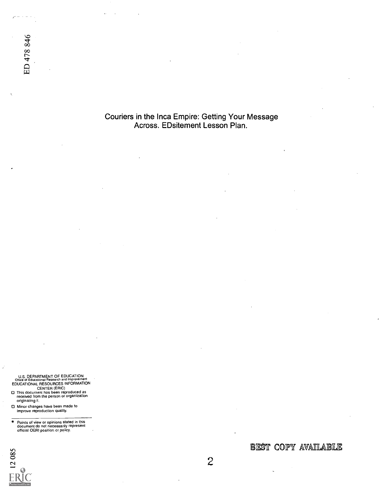Couriers in the Inca Empire: Getting Your Message Across. EDsitement Lesson Plan.

U.S. DEPARTMENT OF EDUCATION<br>CHice of Educational Research and Improvement<br>EDUCATIONAL RESOURCES INFORMATION<br>CENTER (ERIC)<br>This document has been reproduced as<br>received from the person or organization<br>originating it.

- 
- Minor changes have been made to improve reproduction quality.

ED 478 846

Points of view or opinions stated in this document do not necessarily represent official OERI position or pohicy.



BEST COPY AVAILABLE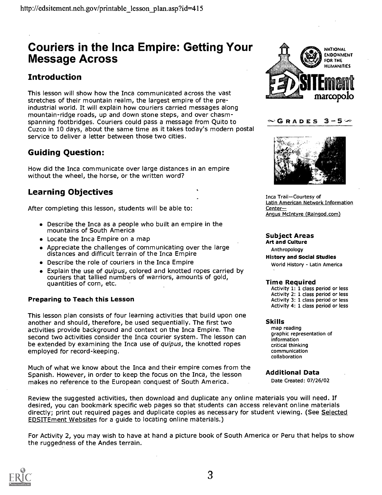## Couriers in the Inca Empire: Getting Your Message Across

## Introduction

This lesson will show how the Inca communicated across the vast stretches of their mountain realm, the largest empire of the preindustrial world. It will explain how couriers carried messages along mountain-ridge roads, up and down stone steps, and over chasmspanning footbridges. Couriers could pass a message from Quito to  $\sim$  G R A D E S Cuzco in 10 days, about the same time as it takes today's modern postal service to deliver a letter between those two cities.

## Guiding Question:

How did the Inca communicate over large distances in an empire without the wheel, the horse, or the written word?

## Learning Objectives

After completing this lesson, students will be able to:

- Describe the Inca as a people who built an empire in the mountains of South America
- Locate the Inca Empire on a map
- Appreciate the challenges of communicating over the large distances and difficult terrain of the Inca Empire
- Describe the role of couriers in the Inca Empire
- Explain the use of *quipus*, colored and knotted ropes carried by couriers that tallied numbers of warriors, amounts of gold, quantities of corn, etc.

#### Preparing to Teach this Lesson

This lesson plan consists of four learning activities that build upon one another and should, therefore, be used sequentially. The first two activities provide background and context on the Inca Empire. The second two activities consider the Inca courier system. The lesson can be extended by examining the Inca use of quipus, the knotted ropes employed for record-keeping.

Much of what we know about the Inca and their empire comes from the Spanish. However, in order to keep the focus on the Inca, the lesson makes no reference to the European conquest of South America.

Review the suggested activities, then download and duplicate any online materials you will need. If desired, you can bookmark specific web pages so that students can access relevant online materials directly; print out required pages and duplicate copies as necessary for student viewing. (See Selected EDSITEment Websites for a guide to locating online materials.)

For Activity 2, you may wish to have at hand a picture book of South America or Peru that helps to show the ruggedness of the Andes terrain.







Inca Trail-Courtesy of Latin American Network Information Center Angus McIntyre (Raingod.com)

## Subject Areas<br>Art and Culture

Anthropology History and Social Studies World History - Latin America

#### Time Required

Activity 1: 1 class period or less Activity 2: 1 class period or less Activity 3: 1 class period or less Activity 4: 1 class period or less

#### Skills

map reading graphic representation of information critical thinking communication collaboration

#### Additional Data

Date Created: 07/26/02

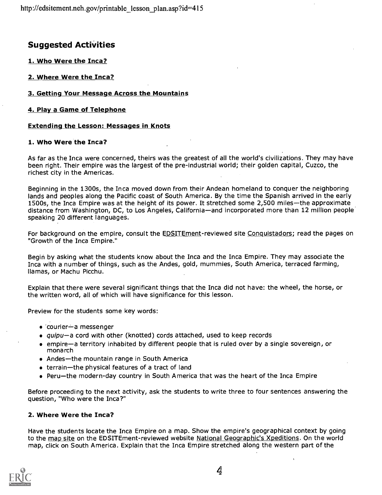## **Suggested Activities**

1. Who Were the Inca?

2. Where Were the Inca?

#### 3. Getting Your Message Across the Mountains

#### 4. Play a Game of Telephone

#### Extending the Lesson: Messages in Knots

#### 1. Who Were the Inca?

As far as the Inca were concerned, theirs was the greatest of all the world's civilizations. They may have been right. Their empire was the largest of the pre-industrial world; their golden capital, Cuzco, the richest city in the Americas.

Beginning in the 1300s, the Inca moved down from their Andean homeland to conquer the neighboring lands and peoples along the Pacific coast of South America. By the time the Spanish arrived in the early 1500s, the Inca Empire was at the height of its power. It stretched some 2,500 miles-the approximate distance from Washington, DC, to Los Angeles, California—and incorporated more than 12 million people speaking 20 different languages.

For background on the empire, consult the EDSITEment-reviewed site Conquistadors; read the pages on "Growth of the Inca Empire."

Begin by asking what the students know about the Inca and the Inca Empire. They may associate the Inca with a number of things, such as the Andes, gold, mummies, South America, terraced farming, llamas, or Machu Picchu.

Explain that there were several significant things that the Inca did not have: the wheel, the horse, or the written word, all of which will have significance for this lesson.

Preview for the students some key words:

- $\bullet$  'courier-a messenger
- quipu-a cord with other (knotted) cords attached, used to keep records
- empirea territory inhabited by different people that is ruled over by a single sovereign, or monarch
- Andes-the mountain range in South America
- $\bullet$  terrain-the physical features of a tract of land
- $\bullet$  Peru-the modern-day country in South America that was the heart of the Inca Empire

Before proceeding to the next activity, ask the students to write three to four sentences answering the question, "Who were the Inca?"

#### 2. Where Were the Inca?

Have the students locate the Inca Empire on a map. Show the empire's geographical context by going to the map site on the EDSITEment-reviewed website National Geographic's Xpeditions. On the world map, click on South America. Explain that the Inca Empire stretched along the western part of the

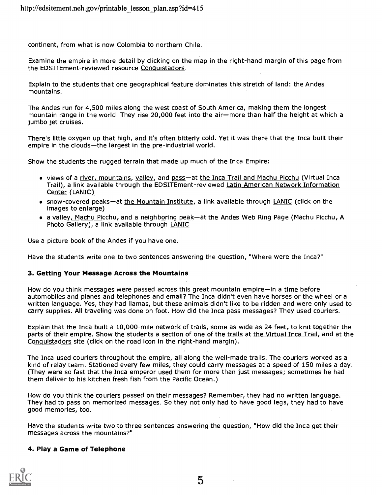continent, from what is now Colombia to northern Chile.

Examine the empire in more detail by clicking on the map in the right-hand margin of this page from the EDSITEment-reviewed resource Conquistadors.

Explain to the students that one geographical feature dominates this stretch of land: the Andes mountains.

The Andes run for 4,500 miles along the west coast of South America, making them the longest mountain range in the world. They rise 20,000 feet into the air-more than half the height at which a jumbo jet cruises.

There's little oxygen up that high, and it's often bitterly cold. Yet it was there that the Inca built their empire in the clouds-the largest in the pre-industrial world.

Show the students the rugged terrain that made up much of the Inca Empire:

- views of a river, mountains, valley, and pass-at the Inca Trail and Machu Picchu (Virtual Inca Trail), a link available through the EDSITEment-reviewed Latin American Network Information Center (LANIC)
- snow-covered peaks—at the Mountain Institute, a link available through LANIC (click on the images to enlarge)
- a valley, Machu Picchu, and a neighboring peak—at the Andes Web Ring Page (Machu Picchu, A Photo Gallery), a link available through LANIC

Use a picture book of the Andes if you have one.

Have the students write one to two sentences answering the question, "Where were the Inca?"

#### 3. Getting Your Message Across the Mountains

How do you think messages were passed across this great mountain empire-in a time before automobiles and planes and telephones and email? The Inca didn't even have horses or the wheel or a written language. Yes, they had llamas, but these animals didn't like to be ridden and were only used to carry supplies. All traveling was done on foot. How did the Inca pass messages? They used couriers.

Explain that the Inca built a 10,000-mile network of trails, some as wide as 24 feet, to knit together the parts of their empire. Show the students a section of one of the trails at the Virtual Inca Trail, and at the Conquistadors site (click on the road icon in the right-hand margin).

The Inca used couriers throughout the empire, all along the well-made trails. The couriers worked as a kind of relay team. Stationed every few miles, they could carry messages at a speed of 150 miles a day. (They were so fast that the Inca emperor used them for more than just messages; sometimes he had them deliver to his kitchen fresh fish from the Pacific Ocean.)

How do you think the couriers passed on their messages? Remember, they had no written language. They had to pass on memorized messages. So they not only had to have good legs, they had to have good memories, too.

Have the students write two to three sentences answering the question, "How did the Inca get their messages across the mountains?"

#### 4. Play a Game of Telephone

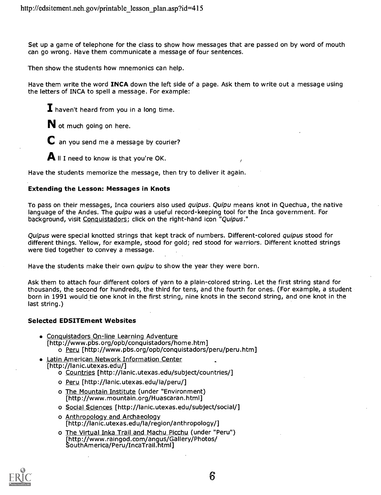Set up a game of telephone for the class to show how messages that are passed on by word of mouth can go wrong. Have them communicate a message of four sentences.

Then show the students how mnemonics can help.

Have them write the word **INCA** down the left side of a page. Ask them to write out a message using the letters of INCA to spell a message. For example:

 $\mathbf I$  haven't heard from you in a long time.

N ot much going on here.

 $\mathbf C$  an you send me a message by courier?

 $\mathbf A$  II I need to know is that you're OK.

Have the students memorize the message, then try to deliver it again.

#### Extending the Lesson: Messages in Knots

To pass on their messages, Inca couriers also used *quipus. Quipu* means knot in Quechua, the native language of the Andes. The *quipu* was a useful record-keeping tool for the Inca government. For background, visit Conquistadors; click on the right-hand icon "Quipus."

Quipus were special knotted strings that kept track of numbers. Different-colored quipus stood for different things. Yellow, for example, stood for gold; red stood for warriors. Different knotted strings were tied together to convey a message.

Have the students make their own *quipu* to show the year they were born.

Ask them to attach four different colors of yarn to a plain-colored string. Let the first string stand for thousands, the second for hundreds, the third for tens, and the fourth for ones. (For example, a student born in 1991 would tie one knot in the first string, nine knots in the second string, and one knot in the last string.)

#### Selected EDSITEment Websites

- Conquistadors On-line Learning Adventure<br>[http://www.pbs.org/opb/conquistadors/home.htm] o Peru [http://www.pbs.org/opb/conquistadors/peru/peru.htm]
- Latin American Network Information Center<br>[http://lanic.utexas.edu/]
	- o Countries [http://lanic.utexas.edu/subject/countries/]
	- o Peru [http://lanic.utexas.edu/la/peru/]
	- o The Mountain Institute (under "Environment) [http://www.mountain.org/Huascaran.html]
	- o Social Sciences [http://lanic.utexas.edu/subject/social/]
	- o Anthropology and Archaeology [http://lanic.utexas.edu/la/region/anthropology/]
	- o The Virtual Inka Trail and Machu Picchu (under "Peru") [http://www.raingod.com/angus/Gallery/Photos/ SouthAmerica/Peru/IncaTrail.html]

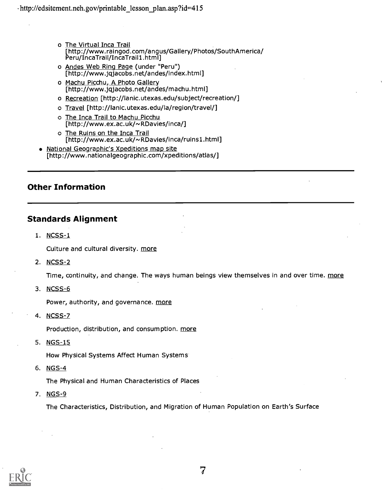- o The Virtual Inca Trail [http://www.raingod.com/angus/Gallery/Photos/SouthAmerica/<br>Peru/IncaTrail/IncaTrail1.html]
- o Andes Web Ring Page (under "Peru") [http://www.jqjacobs.net/andes/index.html]
- o Machu Picchu, A Photo Gallery [http://www.jqjacobs.net/andes/machu.html]
- o Recreation [http://lanic.utexas.edu/subject/recreation/]
- o Travel [http://lanic.utexas.edu/la/region/travel/]
- o The Inca Trail to Machu Picchu [http://www.ex.ac.uk/~RDavies/inca/]
- o The Ruins on the Inca Trail [http://www.ex.ac.uk/~RDavies/inca/ruins1.html]
- National Geographic's Xpeditions map site [http://www.nationalgeographic.com/xpeditions/atlas/]

### Other Information

### Standards Alignment

1. NCSS-1

Culture and cultural diversity. more

2. NCSS-2

Time, continuity, and change. The ways human beings view themselves in and over time. more

3. NCSS-6

Power, authority, and governance. more

4. NCSS-7

Production, distribution, and consumption. more

5. NGS-15

How Physical Systems Affect Human Systems

6. NGS-4

The Physical and Human Characteristics of Places

7. NGS-9

The Characteristics, Distribution, and Migration of Human Population on Earth's Surface